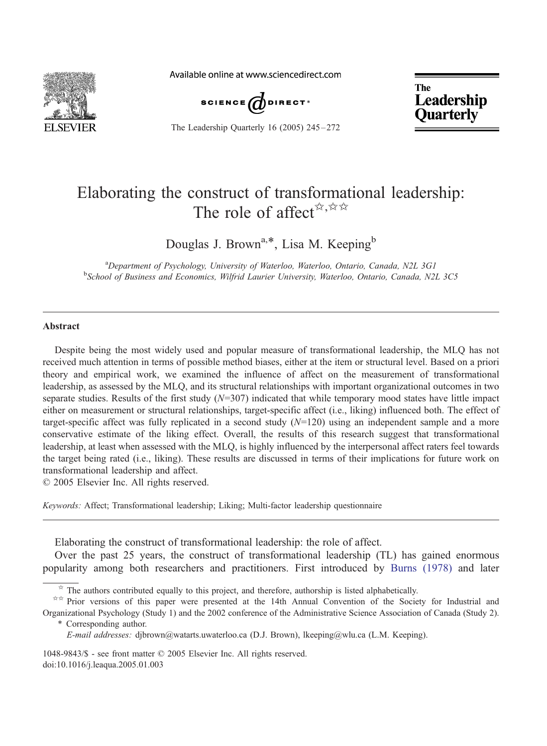

Available online at www.sciencedirect.com



The Leadership Quarterly 16 (2005) 245-272

**The** Leadership **Quarterly** 

## Elaborating the construct of transformational leadership: The role of affect  $\forall x, \forall x$

Douglas J. Brown<sup>a,\*</sup>, Lisa M. Keeping<sup>b</sup>

<sup>a</sup> Department of Psychology, University of Waterloo, Waterloo, Ontario, Canada, N2L 3G1<br><sup>b</sup>School of Business and Economics, Wilfrid Laurier University, Waterloo, Ontario, Canada, N2 <sup>b</sup>School of Business and Economics, Wilfrid Laurier University, Waterloo, Ontario, Canada, N2L 3C5

## Abstract

Despite being the most widely used and popular measure of transformational leadership, the MLQ has not received much attention in terms of possible method biases, either at the item or structural level. Based on a priori theory and empirical work, we examined the influence of affect on the measurement of transformational leadership, as assessed by the MLQ, and its structural relationships with important organizational outcomes in two separate studies. Results of the first study  $(N=307)$  indicated that while temporary mood states have little impact either on measurement or structural relationships, target-specific affect (i.e., liking) influenced both. The effect of target-specific affect was fully replicated in a second study  $(N=120)$  using an independent sample and a more conservative estimate of the liking effect. Overall, the results of this research suggest that transformational leadership, at least when assessed with the MLQ, is highly influenced by the interpersonal affect raters feel towards the target being rated (i.e., liking). These results are discussed in terms of their implications for future work on transformational leadership and affect.

 $\odot$  2005 Elsevier Inc. All rights reserved.

Keywords: Affect; Transformational leadership; Liking; Multi-factor leadership questionnaire

Elaborating the construct of transformational leadership: the role of affect.

Over the past 25 years, the construct of transformational leadership (TL) has gained enormous popularity among both researchers and practitioners. First introduced by [Burns \(1978\)](#page--1-0) and later

 $\dot{\gamma}$  The authors contributed equally to this project, and therefore, authorship is listed alphabetically.

 $\phi \propto$  Prior versions of this paper were presented at the 14th Annual Convention of the Society for Industrial and Organizational Psychology (Study 1) and the 2002 conference of the Administrative Science Association of Canada (Study 2).

<sup>\*</sup> Corresponding author.

E-mail addresses: djbrown@watarts.uwaterloo.ca (D.J. Brown), lkeeping@wlu.ca (L.M. Keeping).

<sup>1048-9843/\$ -</sup> see front matter © 2005 Elsevier Inc. All rights reserved. doi:10.1016/j.leaqua.2005.01.003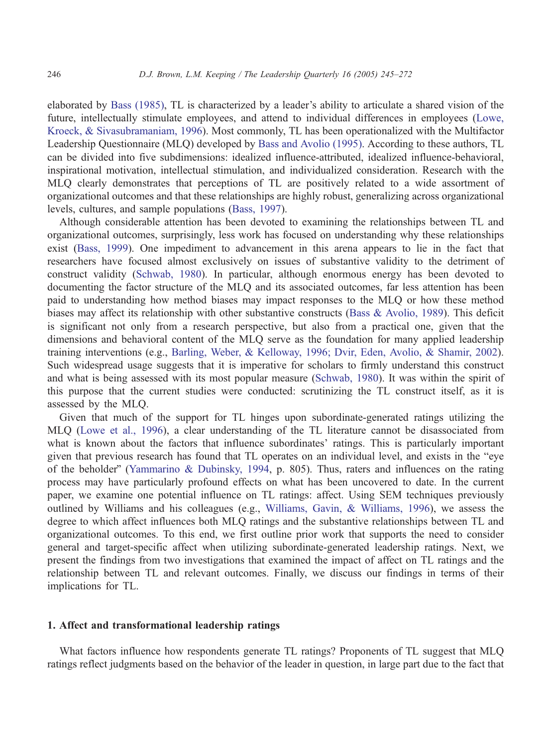elaborated by [Bass \(1985\),](#page--1-0) TL is characterized by a leader's ability to articulate a shared vision of the future, intellectually stimulate employees, and attend to individual differences in employees ([Lowe,](#page--1-0) Kroeck, & Sivasubramaniam, 1996). Most commonly, TL has been operationalized with the Multifactor Leadership Questionnaire (MLQ) developed by [Bass and Avolio \(1995\).](#page--1-0) According to these authors, TL can be divided into five subdimensions: idealized influence-attributed, idealized influence-behavioral, inspirational motivation, intellectual stimulation, and individualized consideration. Research with the MLQ clearly demonstrates that perceptions of TL are positively related to a wide assortment of organizational outcomes and that these relationships are highly robust, generalizing across organizational levels, cultures, and sample populations ([Bass, 1997\)](#page--1-0).

Although considerable attention has been devoted to examining the relationships between TL and organizational outcomes, surprisingly, less work has focused on understanding why these relationships exist ([Bass, 1999\)](#page--1-0). One impediment to advancement in this arena appears to lie in the fact that researchers have focused almost exclusively on issues of substantive validity to the detriment of construct validity ([Schwab, 1980\)](#page--1-0). In particular, although enormous energy has been devoted to documenting the factor structure of the MLQ and its associated outcomes, far less attention has been paid to understanding how method biases may impact responses to the MLQ or how these method biases may affect its relationship with other substantive constructs ([Bass & Avolio, 1989\)](#page--1-0). This deficit is significant not only from a research perspective, but also from a practical one, given that the dimensions and behavioral content of the MLQ serve as the foundation for many applied leadership training interventions (e.g., [Barling, Weber, & Kelloway, 1996; Dvir, Eden, Avolio, & Shamir, 2002\)](#page--1-0). Such widespread usage suggests that it is imperative for scholars to firmly understand this construct and what is being assessed with its most popular measure ([Schwab, 1980\)](#page--1-0). It was within the spirit of this purpose that the current studies were conducted: scrutinizing the TL construct itself, as it is assessed by the MLQ.

Given that much of the support for TL hinges upon subordinate-generated ratings utilizing the MLQ ([Lowe et al., 1996\)](#page--1-0), a clear understanding of the TL literature cannot be disassociated from what is known about the factors that influence subordinates' ratings. This is particularly important given that previous research has found that TL operates on an individual level, and exists in the "eye" of the beholder" ([Yammarino & Dubinsky, 1994,](#page--1-0) p. 805). Thus, raters and influences on the rating process may have particularly profound effects on what has been uncovered to date. In the current paper, we examine one potential influence on TL ratings: affect. Using SEM techniques previously outlined by Williams and his colleagues (e.g., [Williams, Gavin, & Williams, 1996\)](#page--1-0), we assess the degree to which affect influences both MLQ ratings and the substantive relationships between TL and organizational outcomes. To this end, we first outline prior work that supports the need to consider general and target-specific affect when utilizing subordinate-generated leadership ratings. Next, we present the findings from two investigations that examined the impact of affect on TL ratings and the relationship between TL and relevant outcomes. Finally, we discuss our findings in terms of their implications for TL.

## 1. Affect and transformational leadership ratings

What factors influence how respondents generate TL ratings? Proponents of TL suggest that MLQ ratings reflect judgments based on the behavior of the leader in question, in large part due to the fact that